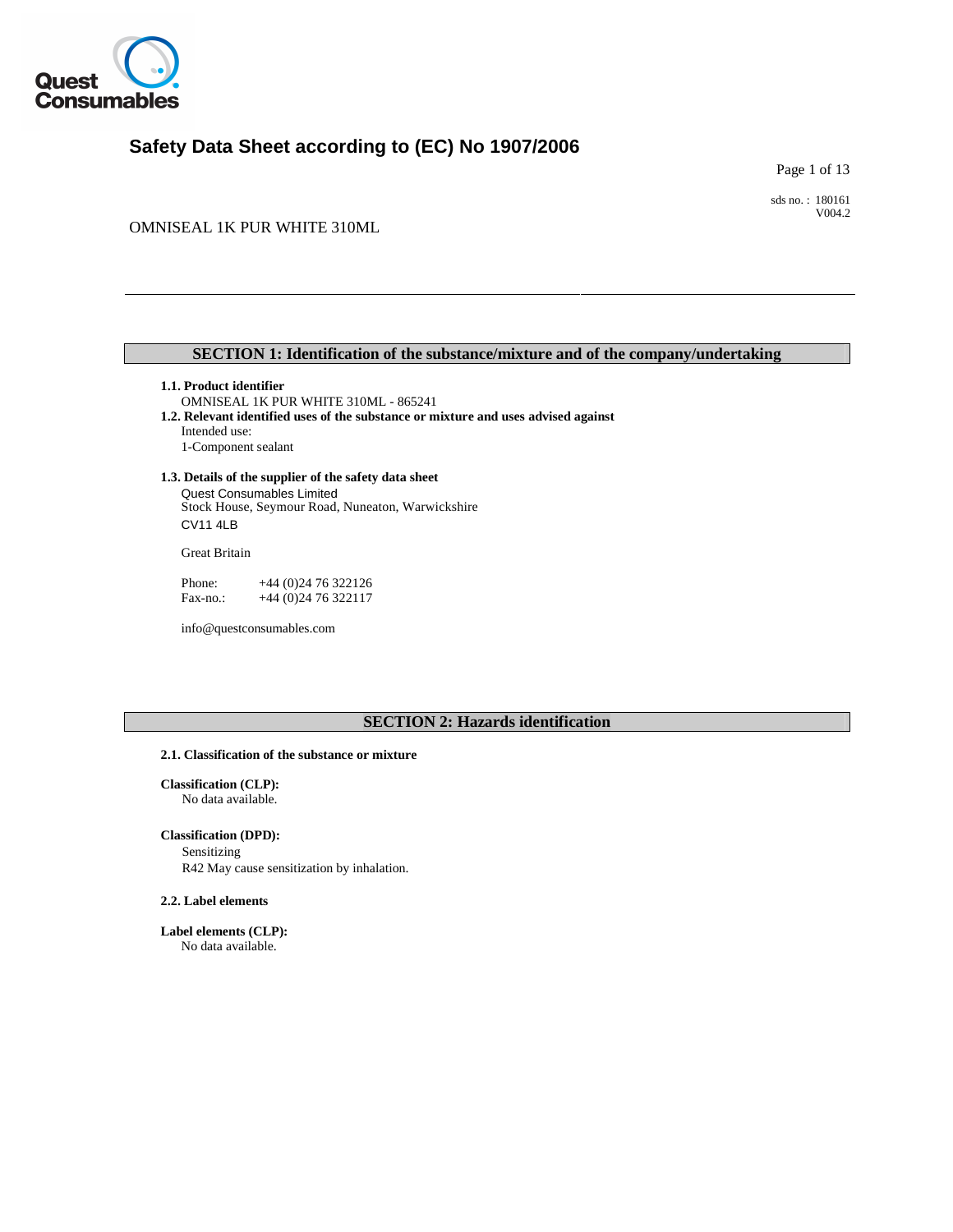

# **Safety Data Sheet according to (EC) No 1907/2006**

Page 1 of 13

sds no. : 180161 V004.2

OMNISEAL 1K PUR WHITE 310ML

## **SECTION 1: Identification of the substance/mixture and of the company/undertaking**

## **1.1. Product identifier**

OMNISEAL 1K PUR WHITE 310ML - 865241 **1.2. Relevant identified uses of the substance or mixture and uses advised against** 

Intended use: 1-Component sealant

## **1.3. Details of the supplier of the safety data sheet**

Stock House, Seymour Road, Nuneaton, Warwickshire Quest Consumables Limited CV11 4LB

Great Britain

Fax-no.: +44 (0) 24 76 322117 Phone: +44 (0) 24 76 322126

info@questconsumables.com

# **SECTION 2: Hazards identification**

#### **2.1. Classification of the substance or mixture**

**Classification (CLP):** No data available.

## **Classification (DPD):**

Sensitizing R42 May cause sensitization by inhalation.

### **2.2. Label elements**

**Label elements (CLP):** No data available.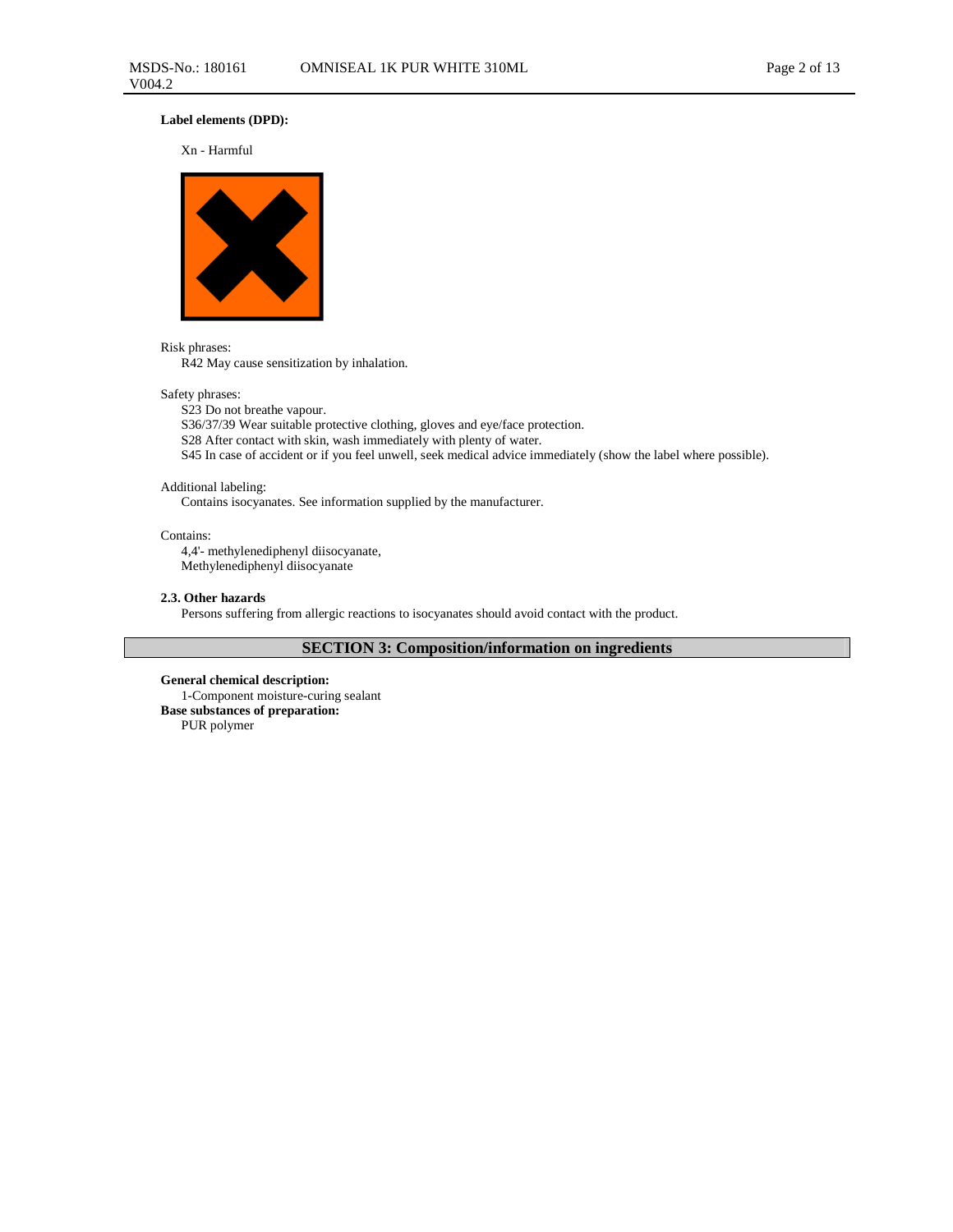## **Label elements (DPD):**

#### Xn - Harmful



#### Risk phrases:

R42 May cause sensitization by inhalation.

## Safety phrases:

S23 Do not breathe vapour.

S36/37/39 Wear suitable protective clothing, gloves and eye/face protection.

S28 After contact with skin, wash immediately with plenty of water.

S45 In case of accident or if you feel unwell, seek medical advice immediately (show the label where possible).

#### Additional labeling:

Contains isocyanates. See information supplied by the manufacturer.

#### Contains:

4,4'- methylenediphenyl diisocyanate, Methylenediphenyl diisocyanate

### **2.3. Other hazards**

Persons suffering from allergic reactions to isocyanates should avoid contact with the product.

# **SECTION 3: Composition/information on ingredients**

**General chemical description:**  1-Component moisture-curing sealant **Base substances of preparation:**  PUR polymer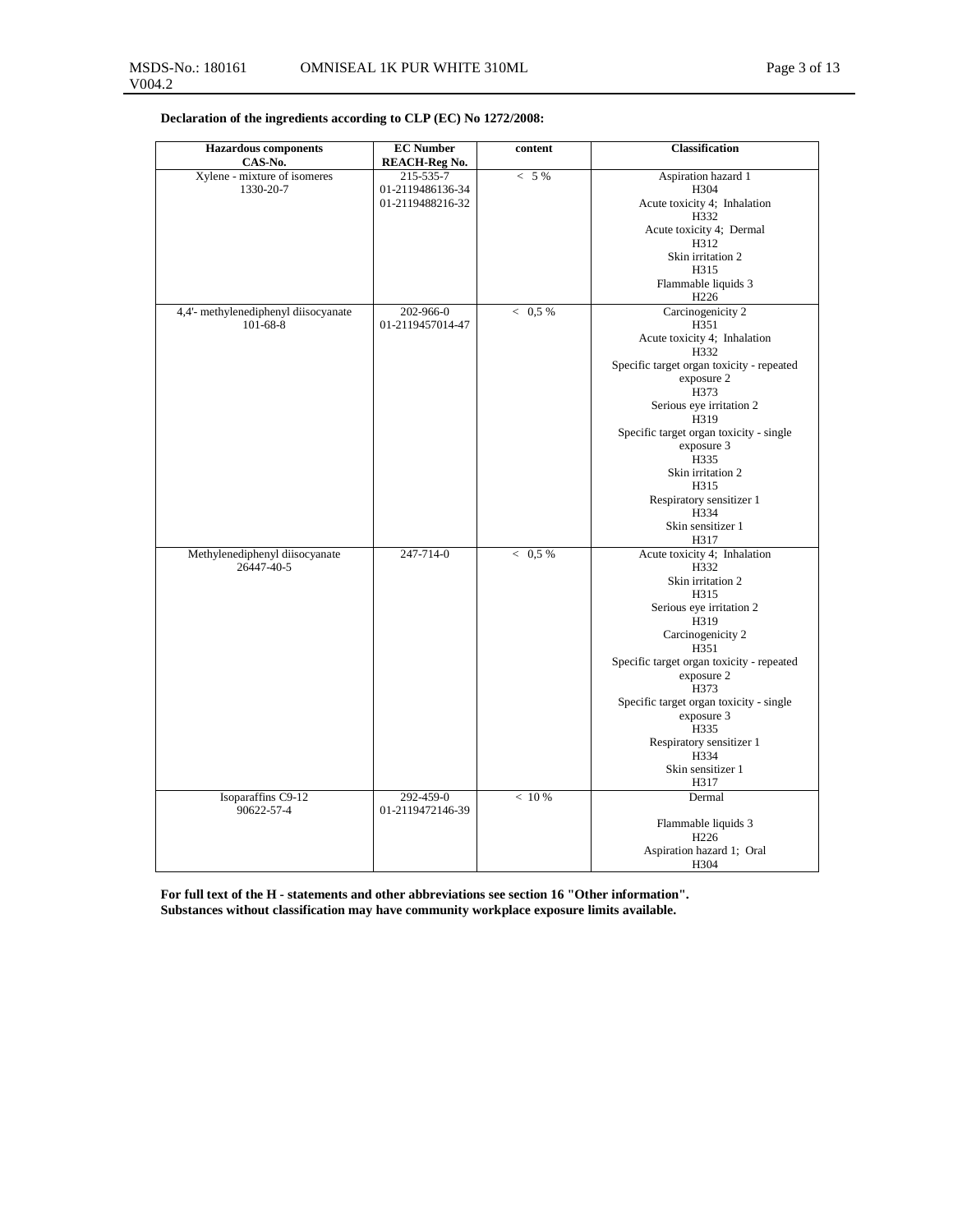**Declaration of the ingredients according to CLP (EC) No 1272/2008:**

| <b>Hazardous</b> components          | <b>EC Number</b>              | content   | <b>Classification</b>                             |
|--------------------------------------|-------------------------------|-----------|---------------------------------------------------|
| CAS-No.                              | <b>REACH-Reg No.</b>          |           |                                                   |
| Xylene - mixture of isomeres         | 215-535-7                     | $< 5\%$   | Aspiration hazard 1                               |
| 1330-20-7                            | 01-2119486136-34              |           | H304                                              |
|                                      | 01-2119488216-32              |           | Acute toxicity 4; Inhalation                      |
|                                      |                               |           | H332                                              |
|                                      |                               |           | Acute toxicity 4; Dermal                          |
|                                      |                               |           | H312                                              |
|                                      |                               |           | Skin irritation 2                                 |
|                                      |                               |           | H315                                              |
|                                      |                               |           | Flammable liquids 3<br>H <sub>226</sub>           |
| 4,4'- methylenediphenyl diisocyanate | 202-966-0                     | $< 0.5\%$ | Carcinogenicity 2                                 |
| $101 - 68 - 8$                       | 01-2119457014-47              |           | H351                                              |
|                                      |                               |           | Acute toxicity 4; Inhalation<br>H332              |
|                                      |                               |           | Specific target organ toxicity - repeated         |
|                                      |                               |           | exposure 2                                        |
|                                      |                               |           | H373                                              |
|                                      |                               |           | Serious eye irritation 2                          |
|                                      |                               |           | H319                                              |
|                                      |                               |           | Specific target organ toxicity - single           |
|                                      |                               |           | exposure 3                                        |
|                                      |                               |           | H335<br>Skin irritation 2                         |
|                                      |                               |           | H315                                              |
|                                      |                               |           | Respiratory sensitizer 1                          |
|                                      |                               |           | H334                                              |
|                                      |                               |           | Skin sensitizer 1                                 |
|                                      |                               |           | H317                                              |
| Methylenediphenyl diisocyanate       | 247-714-0                     | < 0.5 %   | Acute toxicity 4; Inhalation                      |
| 26447-40-5                           |                               |           | H332                                              |
|                                      |                               |           | Skin irritation 2                                 |
|                                      |                               |           | H315                                              |
|                                      |                               |           | Serious eye irritation 2                          |
|                                      |                               |           | H319                                              |
|                                      |                               |           | Carcinogenicity 2                                 |
|                                      |                               |           | H351<br>Specific target organ toxicity - repeated |
|                                      |                               |           | exposure 2                                        |
|                                      |                               |           | H373                                              |
|                                      |                               |           | Specific target organ toxicity - single           |
|                                      |                               |           | exposure 3                                        |
|                                      |                               |           | H335                                              |
|                                      |                               |           | Respiratory sensitizer 1                          |
|                                      |                               |           | H334                                              |
|                                      |                               |           | Skin sensitizer 1                                 |
|                                      |                               |           | H317                                              |
| Isoparaffins C9-12<br>90622-57-4     | 292-459-0<br>01-2119472146-39 | < 10 %    | Dermal                                            |
|                                      |                               |           | Flammable liquids 3                               |
|                                      |                               |           | H <sub>226</sub>                                  |
|                                      |                               |           | Aspiration hazard 1; Oral                         |
|                                      |                               |           | H304                                              |

**For full text of the H - statements and other abbreviations see section 16 "Other information". Substances without classification may have community workplace exposure limits available.**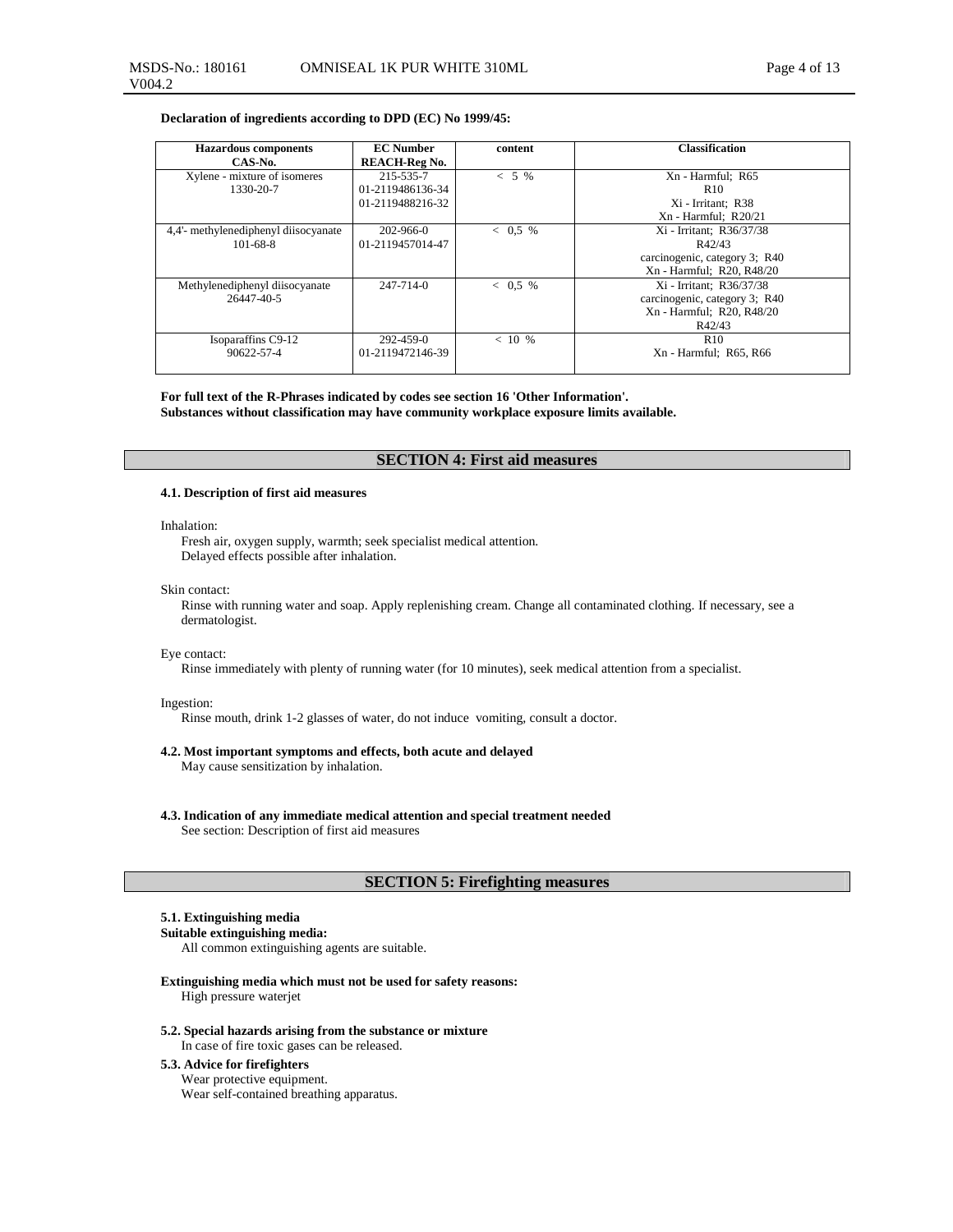## **Declaration of ingredients according to DPD (EC) No 1999/45:**

| <b>Hazardous</b> components          | <b>EC</b> Number     | content   | <b>Classification</b>         |
|--------------------------------------|----------------------|-----------|-------------------------------|
| CAS-No.                              | <b>REACH-Reg No.</b> |           |                               |
| Xylene - mixture of isomeres         | 215-535-7            | $< 5\%$   | Xn - Harmful: R65             |
| 1330-20-7                            | 01-2119486136-34     |           | R <sub>10</sub>               |
|                                      | 01-2119488216-32     |           | Xi - Irritant; R38            |
|                                      |                      |           | $Xn - Harmful: R20/21$        |
| 4,4'- methylenediphenyl diisocyanate | 202-966-0            | $< 0.5\%$ | Xi - Irritant; R36/37/38      |
| $101 - 68 - 8$                       | 01-2119457014-47     |           | R42/43                        |
|                                      |                      |           | carcinogenic, category 3; R40 |
|                                      |                      |           | Xn - Harmful; R20, R48/20     |
| Methylenediphenyl diisocyanate       | $247 - 714 - 0$      | $< 0.5\%$ | Xi - Irritant; R36/37/38      |
| 26447-40-5                           |                      |           | carcinogenic, category 3; R40 |
|                                      |                      |           | Xn - Harmful; R20, R48/20     |
|                                      |                      |           | R42/43                        |
| Isoparaffins C9-12                   | 292-459-0            | < 10 %    | R10                           |
| 90622-57-4                           | 01-2119472146-39     |           | Xn - Harmful: R65, R66        |
|                                      |                      |           |                               |

# **For full text of the R-Phrases indicated by codes see section 16 'Other Information'.**

**Substances without classification may have community workplace exposure limits available.**

## **SECTION 4: First aid measures**

#### **4.1. Description of first aid measures**

#### Inhalation:

V004.2

Fresh air, oxygen supply, warmth; seek specialist medical attention. Delayed effects possible after inhalation.

#### Skin contact:

Rinse with running water and soap. Apply replenishing cream. Change all contaminated clothing. If necessary, see a dermatologist.

#### Eye contact:

Rinse immediately with plenty of running water (for 10 minutes), seek medical attention from a specialist.

#### Ingestion:

Rinse mouth, drink 1-2 glasses of water, do not induce vomiting, consult a doctor.

## **4.2. Most important symptoms and effects, both acute and delayed**

May cause sensitization by inhalation.

**4.3. Indication of any immediate medical attention and special treatment needed**  See section: Description of first aid measures

## **SECTION 5: Firefighting measures**

## **5.1. Extinguishing media**

### **Suitable extinguishing media:**

All common extinguishing agents are suitable.

- **Extinguishing media which must not be used for safety reasons:**  High pressure waterjet
- **5.2. Special hazards arising from the substance or mixture**  In case of fire toxic gases can be released.

## **5.3. Advice for firefighters**  Wear protective equipment. Wear self-contained breathing apparatus.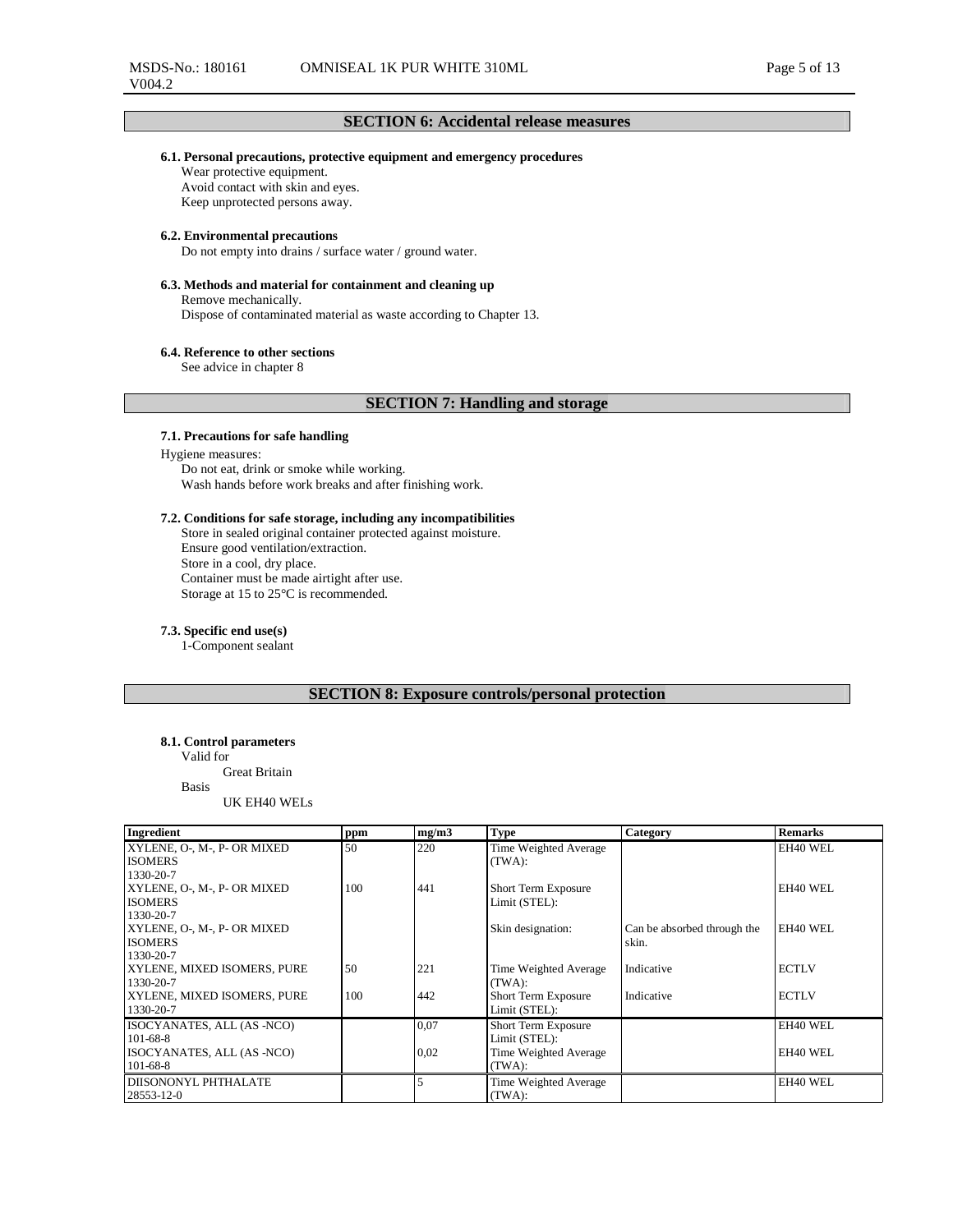## **SECTION 6: Accidental release measures**

### **6.1. Personal precautions, protective equipment and emergency procedures**

Wear protective equipment. Avoid contact with skin and eyes. Keep unprotected persons away.

### **6.2. Environmental precautions**

Do not empty into drains / surface water / ground water.

## **6.3. Methods and material for containment and cleaning up**

Remove mechanically. Dispose of contaminated material as waste according to Chapter 13.

#### **6.4. Reference to other sections**

See advice in chapter 8

## **SECTION 7: Handling and storage**

### **7.1. Precautions for safe handling**

Hygiene measures: Do not eat, drink or smoke while working. Wash hands before work breaks and after finishing work.

### **7.2. Conditions for safe storage, including any incompatibilities**

Store in sealed original container protected against moisture. Ensure good ventilation/extraction. Store in a cool, dry place. Container must be made airtight after use. Storage at 15 to 25°C is recommended.

### **7.3. Specific end use(s)**

1-Component sealant

## **SECTION 8: Exposure controls/personal protection**

### **8.1. Control parameters**

Valid for

Great Britain Basis

UK EH40 WELs

| Ingredient                  | ppm | mg/m3 | <b>Type</b>                | Category                    | <b>Remarks</b> |
|-----------------------------|-----|-------|----------------------------|-----------------------------|----------------|
| XYLENE, O-, M-, P- OR MIXED | 50  | 220   | Time Weighted Average      |                             | EH40 WEL       |
| <b>ISOMERS</b>              |     |       | (TWA):                     |                             |                |
| 1330-20-7                   |     |       |                            |                             |                |
| XYLENE, O-, M-, P- OR MIXED | 100 | 441   | Short Term Exposure        |                             | EH40 WEL       |
| <b>ISOMERS</b>              |     |       | Limit (STEL):              |                             |                |
| 1330-20-7                   |     |       |                            |                             |                |
| XYLENE, O-, M-, P- OR MIXED |     |       | Skin designation:          | Can be absorbed through the | EH40 WEL       |
| <b>ISOMERS</b>              |     |       |                            | skin.                       |                |
| 1330-20-7                   |     |       |                            |                             |                |
| XYLENE, MIXED ISOMERS, PURE | 50  | 221   | Time Weighted Average      | Indicative                  | <b>ECTLV</b>   |
| 1330-20-7                   |     |       | (TWA):                     |                             |                |
| XYLENE, MIXED ISOMERS, PURE | 100 | 442   | <b>Short Term Exposure</b> | Indicative                  | <b>ECTLV</b>   |
| 1330-20-7                   |     |       | Limit (STEL):              |                             |                |
| ISOCYANATES, ALL (AS -NCO)  |     | 0,07  | <b>Short Term Exposure</b> |                             | EH40 WEL       |
| $101 - 68 - 8$              |     |       | Limit (STEL):              |                             |                |
| ISOCYANATES, ALL (AS -NCO)  |     | 0,02  | Time Weighted Average      |                             | EH40 WEL       |
| $101-68-8$                  |     |       | (TWA):                     |                             |                |
| <b>DIISONONYL PHTHALATE</b> |     |       | Time Weighted Average      |                             | EH40 WEL       |
| 28553-12-0                  |     |       | (TWA):                     |                             |                |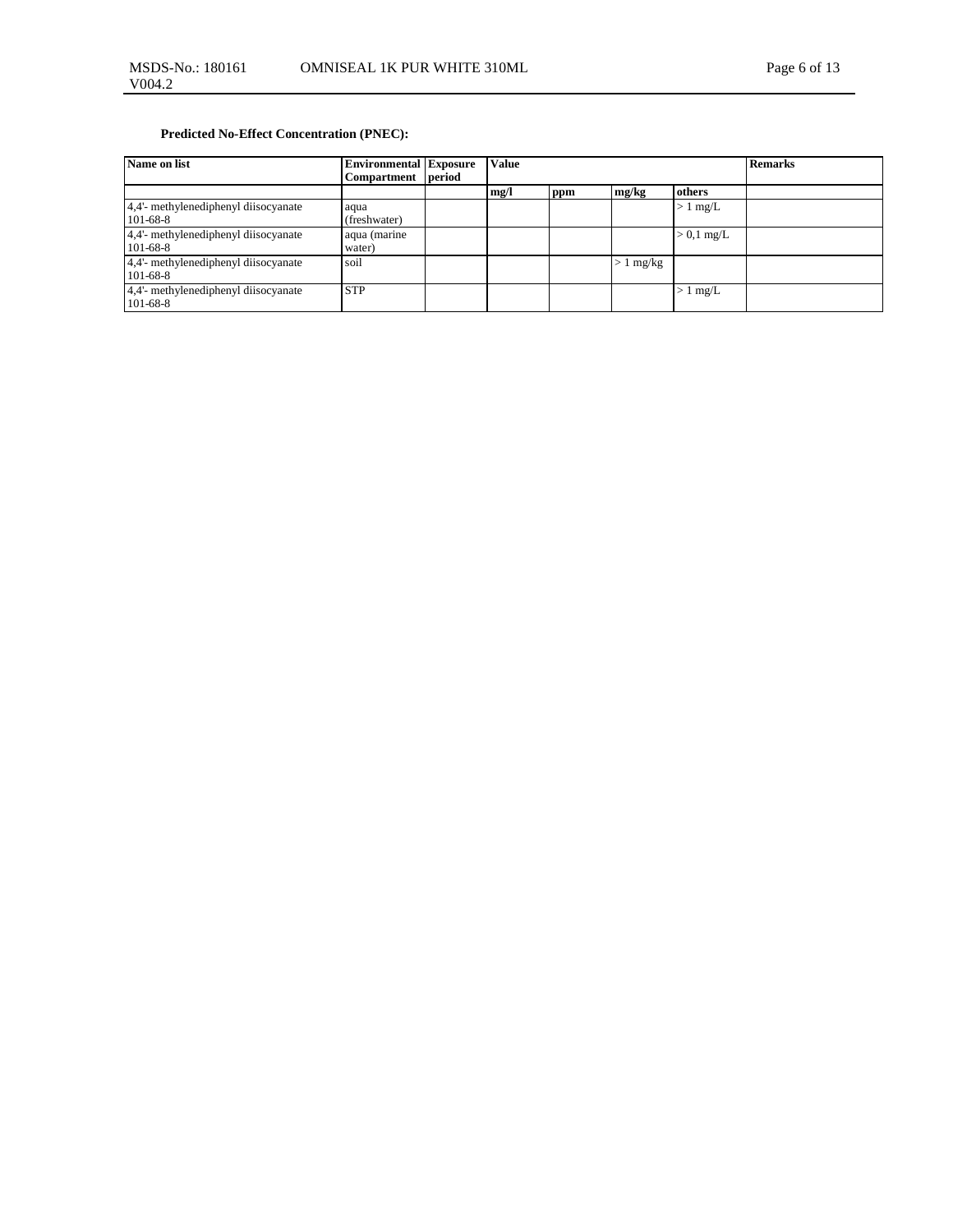## **Predicted No-Effect Concentration (PNEC):**

| Name on list                                           | <b>Environmental Exposure</b> |        | Value |     |                   |              | <b>Remarks</b> |
|--------------------------------------------------------|-------------------------------|--------|-------|-----|-------------------|--------------|----------------|
|                                                        | Compartment                   | period |       |     |                   |              |                |
|                                                        |                               |        | mg/l  | ppm | mg/kg             | others       |                |
| 4,4'- methylenediphenyl diisocyanate<br>$101 - 68 - 8$ | aqua<br>(freshwater)          |        |       |     |                   | $> 1$ mg/L   |                |
| 4,4'- methylenediphenyl diisocyanate<br>$101-68-8$     | aqua (marine<br>water)        |        |       |     |                   | $> 0.1$ mg/L |                |
| 4,4'- methylenediphenyl diisocyanate<br>$101 - 68 - 8$ | soil                          |        |       |     | $1 \text{ mg/kg}$ |              |                |
| 4,4'- methylenediphenyl diisocyanate<br>$101-68-8$     | <b>STP</b>                    |        |       |     |                   | $> 1$ mg/L   |                |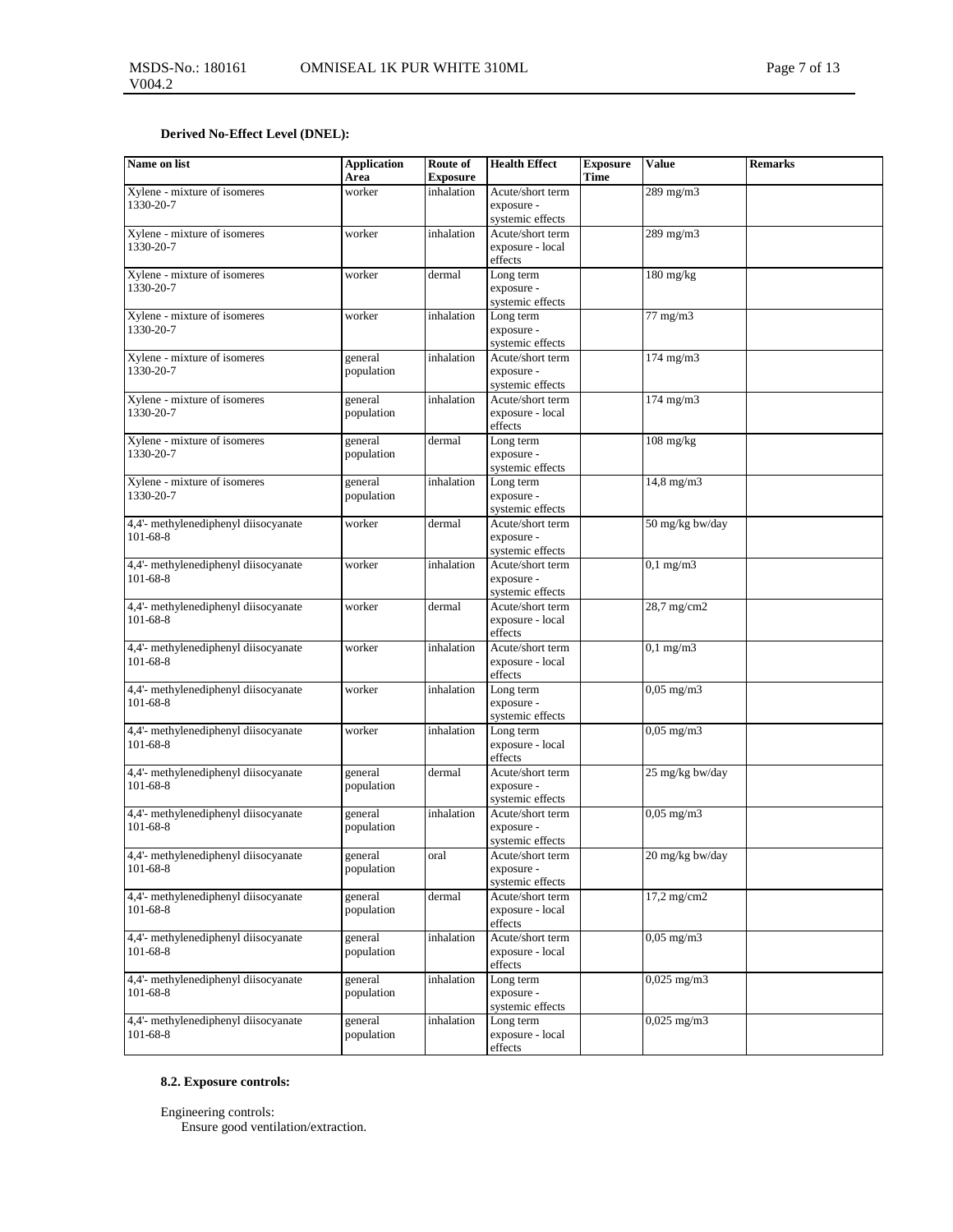## **Derived No-Effect Level (DNEL):**

| Name on list                                           | <b>Application</b><br>Area | Route of<br><b>Exposure</b> | <b>Health Effect</b>                                                | <b>Exposure</b><br>Time | <b>Value</b>          | <b>Remarks</b> |
|--------------------------------------------------------|----------------------------|-----------------------------|---------------------------------------------------------------------|-------------------------|-----------------------|----------------|
| Xylene - mixture of isomeres<br>1330-20-7              | worker                     | inhalation                  | Acute/short term<br>exposure -                                      |                         | 289 mg/m3             |                |
| Xylene - mixture of isomeres<br>1330-20-7              | worker                     | inhalation                  | systemic effects<br>Acute/short term<br>exposure - local<br>effects |                         | 289 mg/m3             |                |
| Xylene - mixture of isomeres<br>1330-20-7              | worker                     | dermal                      | Long term<br>exposure -<br>systemic effects                         |                         | $180$ mg/kg           |                |
| Xylene - mixture of isomeres<br>1330-20-7              | worker                     | inhalation                  | Long term<br>exposure -<br>systemic effects                         |                         | $77 \text{ mg/m}$ 3   |                |
| Xylene - mixture of isomeres<br>1330-20-7              | general<br>population      | inhalation                  | Acute/short term<br>exposure -<br>systemic effects                  |                         | $174 \text{ mg/m}$ 3  |                |
| Xylene - mixture of isomeres<br>1330-20-7              | general<br>population      | inhalation                  | Acute/short term<br>exposure - local<br>effects                     |                         | $174 \text{ mg/m}$ 3  |                |
| Xylene - mixture of isomeres<br>1330-20-7              | general<br>population      | dermal                      | Long term<br>exposure -<br>systemic effects                         |                         | $108$ mg/kg           |                |
| Xylene - mixture of isomeres<br>1330-20-7              | general<br>population      | inhalation                  | Long term<br>exposure -<br>systemic effects                         |                         | $14,8 \text{ mg/m}$ 3 |                |
| 4,4'- methylenediphenyl diisocyanate<br>$101 - 68 - 8$ | worker                     | dermal                      | Acute/short term<br>exposure -<br>systemic effects                  |                         | 50 mg/kg bw/day       |                |
| 4,4'- methylenediphenyl diisocyanate<br>101-68-8       | worker                     | inhalation                  | Acute/short term<br>exposure -<br>systemic effects                  |                         | $0,1$ mg/m $3$        |                |
| 4,4'- methylenediphenyl diisocyanate<br>101-68-8       | worker                     | dermal                      | Acute/short term<br>exposure - local<br>effects                     |                         | 28,7 mg/cm2           |                |
| 4,4'- methylenediphenyl diisocyanate<br>101-68-8       | worker                     | inhalation                  | Acute/short term<br>exposure - local<br>effects                     |                         | $0,1$ mg/m $3$        |                |
| 4,4'- methylenediphenyl diisocyanate<br>$101 - 68 - 8$ | worker                     | inhalation                  | Long term<br>exposure -<br>systemic effects                         |                         | $0,05 \text{ mg/m}$ 3 |                |
| 4,4'- methylenediphenyl diisocyanate<br>$101-68-8$     | worker                     | inhalation                  | Long term<br>exposure - local<br>effects                            |                         | $0,05 \text{ mg/m}$ 3 |                |
| 4,4'- methylenediphenyl diisocyanate<br>$101-68-8$     | general<br>population      | dermal                      | Acute/short term<br>exposure -<br>systemic effects                  |                         | 25 mg/kg bw/day       |                |
| 4,4'- methylenediphenyl diisocyanate<br>101-68-8       | general<br>population      | inhalation                  | Acute/short term<br>exposure -<br>systemic effects                  |                         | $0,05$ mg/m $3$       |                |
| 4,4'- methylenediphenyl diisocyanate<br>$101-68-8$     | general<br>population      | oral                        | Acute/short term<br>exposure -<br>systemic effects                  |                         | 20 mg/kg bw/day       |                |
| 4,4'- methylenediphenyl diisocyanate<br>$101-68-8$     | general<br>population      | dermal                      | Acute/short term<br>exposure - local<br>effects                     |                         | $17,2$ mg/cm $2$      |                |
| 4,4'- methylenediphenyl diisocyanate<br>101-68-8       | general<br>population      | inhalation                  | Acute/short term<br>exposure - local<br>effects                     |                         | $0,05 \text{ mg/m}$   |                |
| 4,4'- methylenediphenyl diisocyanate<br>101-68-8       | general<br>population      | inhalation                  | Long term<br>exposure -<br>systemic effects                         |                         | $0,025$ mg/m $3$      |                |
| 4,4'- methylenediphenyl diisocyanate<br>$101-68-8$     | general<br>population      | inhalation                  | Long term<br>exposure - local<br>effects                            |                         | $0,025$ mg/m $3$      |                |

# **8.2. Exposure controls:**

Engineering controls: Ensure good ventilation/extraction.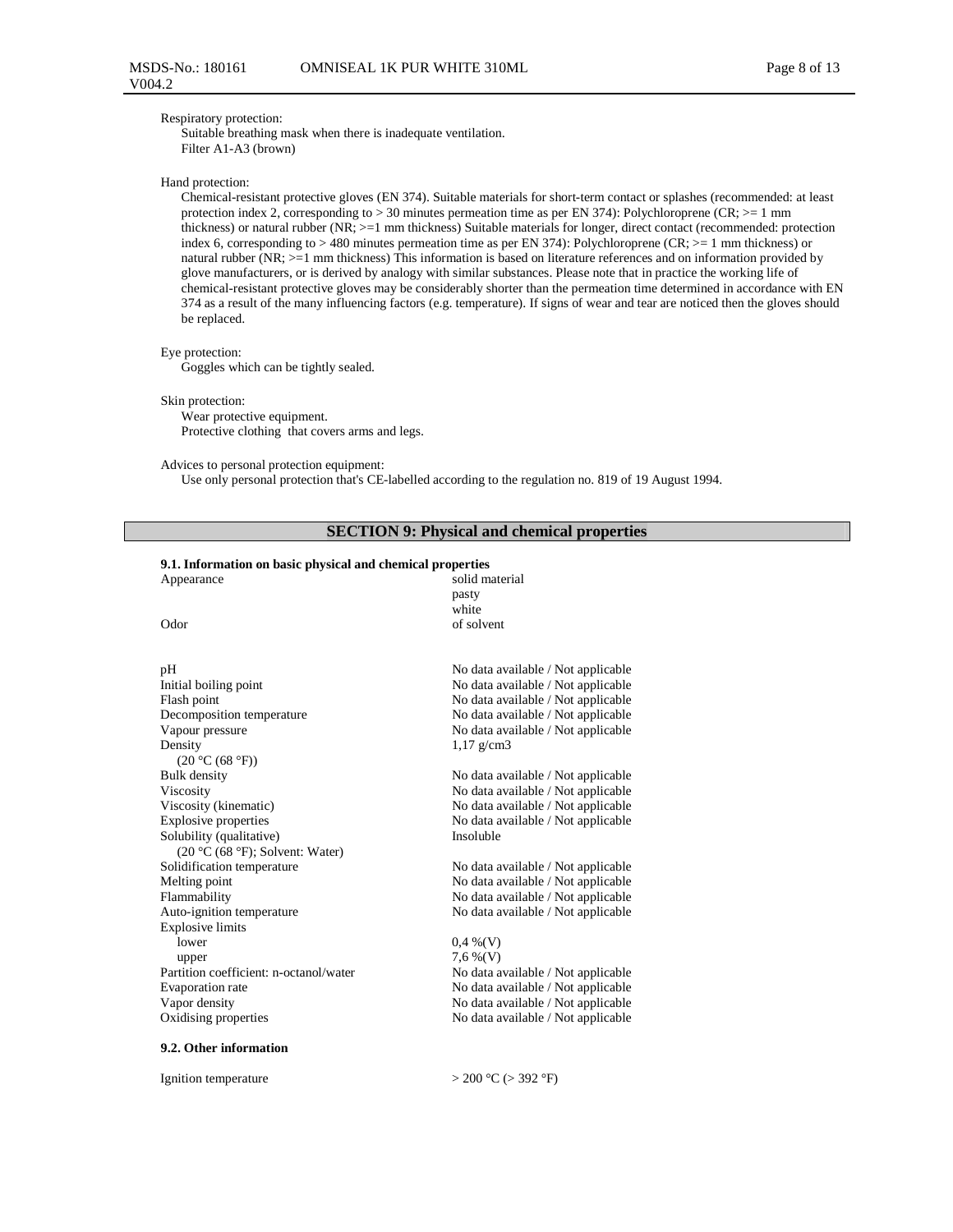#### Respiratory protection:

Suitable breathing mask when there is inadequate ventilation. Filter A1-A3 (brown)

## Hand protection:

Chemical-resistant protective gloves (EN 374). Suitable materials for short-term contact or splashes (recommended: at least protection index 2, corresponding to > 30 minutes permeation time as per EN 374): Polychloroprene (CR; >= 1 mm thickness) or natural rubber (NR; >=1 mm thickness) Suitable materials for longer, direct contact (recommended: protection index 6, corresponding to  $> 480$  minutes permeation time as per EN 374): Polychloroprene (CR;  $>= 1$  mm thickness) or natural rubber (NR; >=1 mm thickness) This information is based on literature references and on information provided by glove manufacturers, or is derived by analogy with similar substances. Please note that in practice the working life of chemical-resistant protective gloves may be considerably shorter than the permeation time determined in accordance with EN 374 as a result of the many influencing factors (e.g. temperature). If signs of wear and tear are noticed then the gloves should be replaced.

#### Eye protection:

Goggles which can be tightly sealed.

#### Skin protection:

Wear protective equipment. Protective clothing that covers arms and legs.

### Advices to personal protection equipment:

Use only personal protection that's CE-labelled according to the regulation no. 819 of 19 August 1994.

## **SECTION 9: Physical and chemical properties**

## **9.1. Information on basic physical and chemical properties**

| Appearance                             | solid material                     |
|----------------------------------------|------------------------------------|
|                                        | pasty                              |
|                                        | white                              |
| Odor                                   | of solvent                         |
|                                        |                                    |
| pН                                     | No data available / Not applicable |
| Initial boiling point                  | No data available / Not applicable |
| Flash point                            | No data available / Not applicable |
| Decomposition temperature              | No data available / Not applicable |
| Vapour pressure                        | No data available / Not applicable |
| Density                                | $1,17 \text{ g/cm}$ 3              |
| (20 °C (68 °F))                        |                                    |
| <b>Bulk</b> density                    | No data available / Not applicable |
| Viscosity                              | No data available / Not applicable |
| Viscosity (kinematic)                  | No data available / Not applicable |
| <b>Explosive properties</b>            | No data available / Not applicable |
| Solubility (qualitative)               | Insoluble                          |
| (20 °C (68 °F); Solvent: Water)        |                                    |
| Solidification temperature             | No data available / Not applicable |
| Melting point                          | No data available / Not applicable |
| Flammability                           | No data available / Not applicable |
| Auto-ignition temperature              | No data available / Not applicable |
| <b>Explosive limits</b>                |                                    |
| lower                                  | $0.4\%$ (V)                        |
| upper                                  | $7,6\%$ (V)                        |
| Partition coefficient: n-octanol/water | No data available / Not applicable |
| Evaporation rate                       | No data available / Not applicable |
| Vapor density                          | No data available / Not applicable |
| Oxidising properties                   | No data available / Not applicable |
|                                        |                                    |
| $\sim$ $\sim$ $\sim$ $\sim$            |                                    |

#### **9.2. Other information**

Ignition temperature  $> 200 \text{ °C}$  ( $> 392 \text{ °F}$ )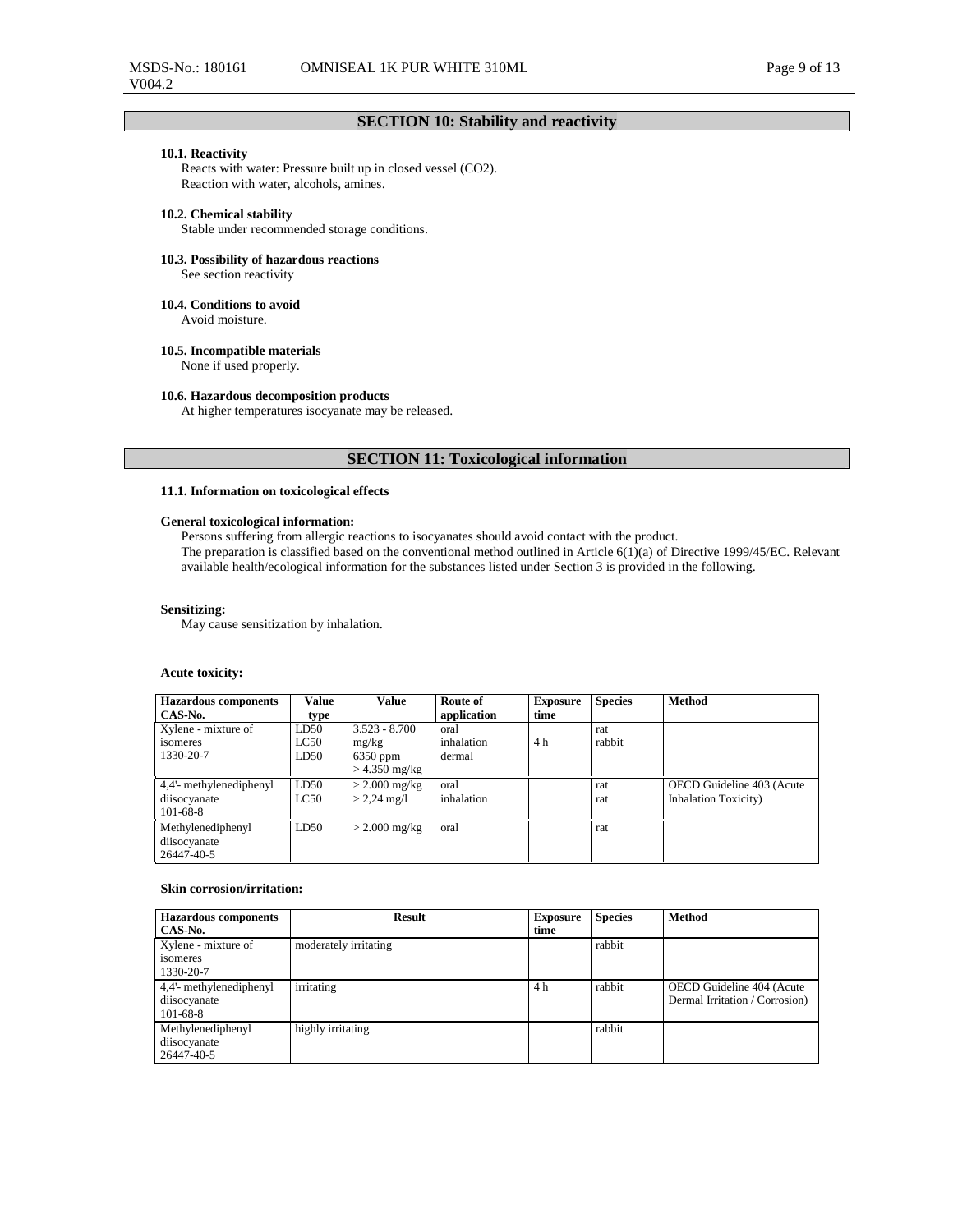## **SECTION 10: Stability and reactivity**

### **10.1. Reactivity**

Reacts with water: Pressure built up in closed vessel (CO2). Reaction with water, alcohols, amines.

## **10.2. Chemical stability**

Stable under recommended storage conditions.

## **10.3. Possibility of hazardous reactions**

See section reactivity

## **10.4. Conditions to avoid**

Avoid moisture.

### **10.5. Incompatible materials**

None if used properly.

### **10.6. Hazardous decomposition products**

At higher temperatures isocyanate may be released.

## **SECTION 11: Toxicological information**

#### **11.1. Information on toxicological effects**

## **General toxicological information:**

Persons suffering from allergic reactions to isocyanates should avoid contact with the product.

The preparation is classified based on the conventional method outlined in Article 6(1)(a) of Directive 1999/45/EC. Relevant available health/ecological information for the substances listed under Section 3 is provided in the following.

### **Sensitizing:**

May cause sensitization by inhalation.

## **Acute toxicity:**

| <b>Hazardous</b> components       | Value | <b>Value</b>    | Route of    | <b>Exposure</b> | <b>Species</b> | <b>Method</b>                |
|-----------------------------------|-------|-----------------|-------------|-----------------|----------------|------------------------------|
| CAS-No.                           | type  |                 | application | time            |                |                              |
| Xylene - mixture of               | LD50  | $3.523 - 8.700$ | oral        |                 | rat            |                              |
| isomeres                          | LC50  | mg/kg           | inhalation  | 4 h             | rabbit         |                              |
| 1330-20-7                         | LD50  | $6350$ ppm      | dermal      |                 |                |                              |
|                                   |       | $>$ 4.350 mg/kg |             |                 |                |                              |
| 4,4'- methylenediphenyl           | LD50  | $>$ 2.000 mg/kg | oral        |                 | rat            | OECD Guideline 403 (Acute    |
| diisocyanate                      | LC50  | $> 2.24$ mg/l   | inhalation  |                 | rat            | <b>Inhalation Toxicity</b> ) |
| $101 - 68 - 8$                    |       |                 |             |                 |                |                              |
| Methylenediphenyl<br>diisocyanate | LD50  | $> 2.000$ mg/kg | oral        |                 | rat            |                              |
| 26447-40-5                        |       |                 |             |                 |                |                              |

### **Skin corrosion/irritation:**

| <b>Hazardous</b> components | <b>Result</b>         | <b>Exposure</b> | <b>Species</b> | <b>Method</b>                  |
|-----------------------------|-----------------------|-----------------|----------------|--------------------------------|
| CAS-No.                     |                       | time            |                |                                |
| Xylene - mixture of         | moderately irritating |                 | rabbit         |                                |
| isomeres                    |                       |                 |                |                                |
| 1330-20-7                   |                       |                 |                |                                |
| 4,4'- methylenediphenyl     | irritating            | 4 h             | rabbit         | OECD Guideline 404 (Acute      |
| diisocyanate                |                       |                 |                | Dermal Irritation / Corrosion) |
| $101 - 68 - 8$              |                       |                 |                |                                |
| Methylenediphenyl           | highly irritating     |                 | rabbit         |                                |
| diisocyanate                |                       |                 |                |                                |
| 26447-40-5                  |                       |                 |                |                                |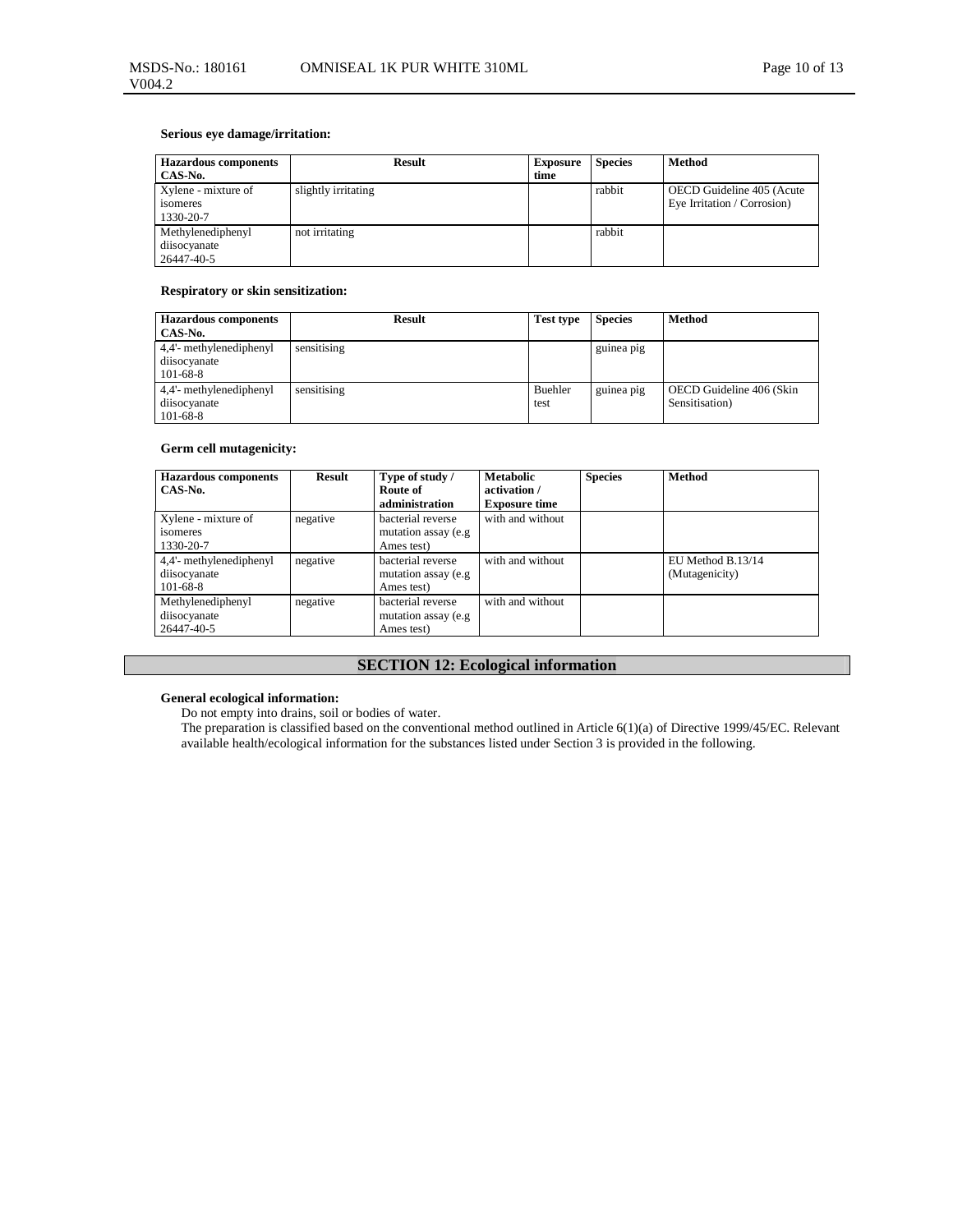## **Serious eye damage/irritation:**

| <b>Hazardous</b> components<br>CAS-No.              | <b>Result</b>       | <b>Exposure</b><br>time | <b>Species</b> | Method                                                   |
|-----------------------------------------------------|---------------------|-------------------------|----------------|----------------------------------------------------------|
| Xylene - mixture of<br><i>s</i> omeres<br>1330-20-7 | slightly irritating |                         | rabbit         | OECD Guideline 405 (Acute<br>Eye Irritation / Corrosion) |
| Methylenediphenyl<br>diisocyanate<br>26447-40-5     | not irritating      |                         | rabbit         |                                                          |

## **Respiratory or skin sensitization:**

| <b>Hazardous</b> components<br>CAS-No.                    | <b>Result</b> | <b>Test type</b> | <b>Species</b> | <b>Method</b>                              |
|-----------------------------------------------------------|---------------|------------------|----------------|--------------------------------------------|
| 4,4'- methylenediphenyl<br>diisocyanate<br>$101 - 68 - 8$ | sensitising   |                  | guinea pig     |                                            |
| 4.4'- methylenediphenyl<br>diisocyanate<br>$101 - 68 - 8$ | sensitising   | Buehler<br>test  | guinea pig     | OECD Guideline 406 (Skin<br>Sensitisation) |

## **Germ cell mutagenicity:**

| <b>Hazardous</b> components<br>CAS-No.                    | Result   | Type of study /<br>Route of<br>administration           | <b>Metabolic</b><br>activation /<br><b>Exposure time</b> | <b>Species</b> | <b>Method</b>                       |
|-----------------------------------------------------------|----------|---------------------------------------------------------|----------------------------------------------------------|----------------|-------------------------------------|
| Xylene - mixture of<br>isomeres<br>1330-20-7              | negative | bacterial reverse<br>mutation assay (e.g.<br>Ames test) | with and without                                         |                |                                     |
| 4,4'- methylenediphenyl<br>diisocyanate<br>$101 - 68 - 8$ | negative | bacterial reverse<br>mutation assay (e.g.<br>Ames test) | with and without                                         |                | EU Method B.13/14<br>(Mutagenicity) |
| Methylenediphenyl<br>diisocyanate<br>26447-40-5           | negative | bacterial reverse<br>mutation assay (e.g.<br>Ames test) | with and without                                         |                |                                     |

# **SECTION 12: Ecological information**

## **General ecological information:**

Do not empty into drains, soil or bodies of water.

The preparation is classified based on the conventional method outlined in Article 6(1)(a) of Directive 1999/45/EC. Relevant available health/ecological information for the substances listed under Section 3 is provided in the following.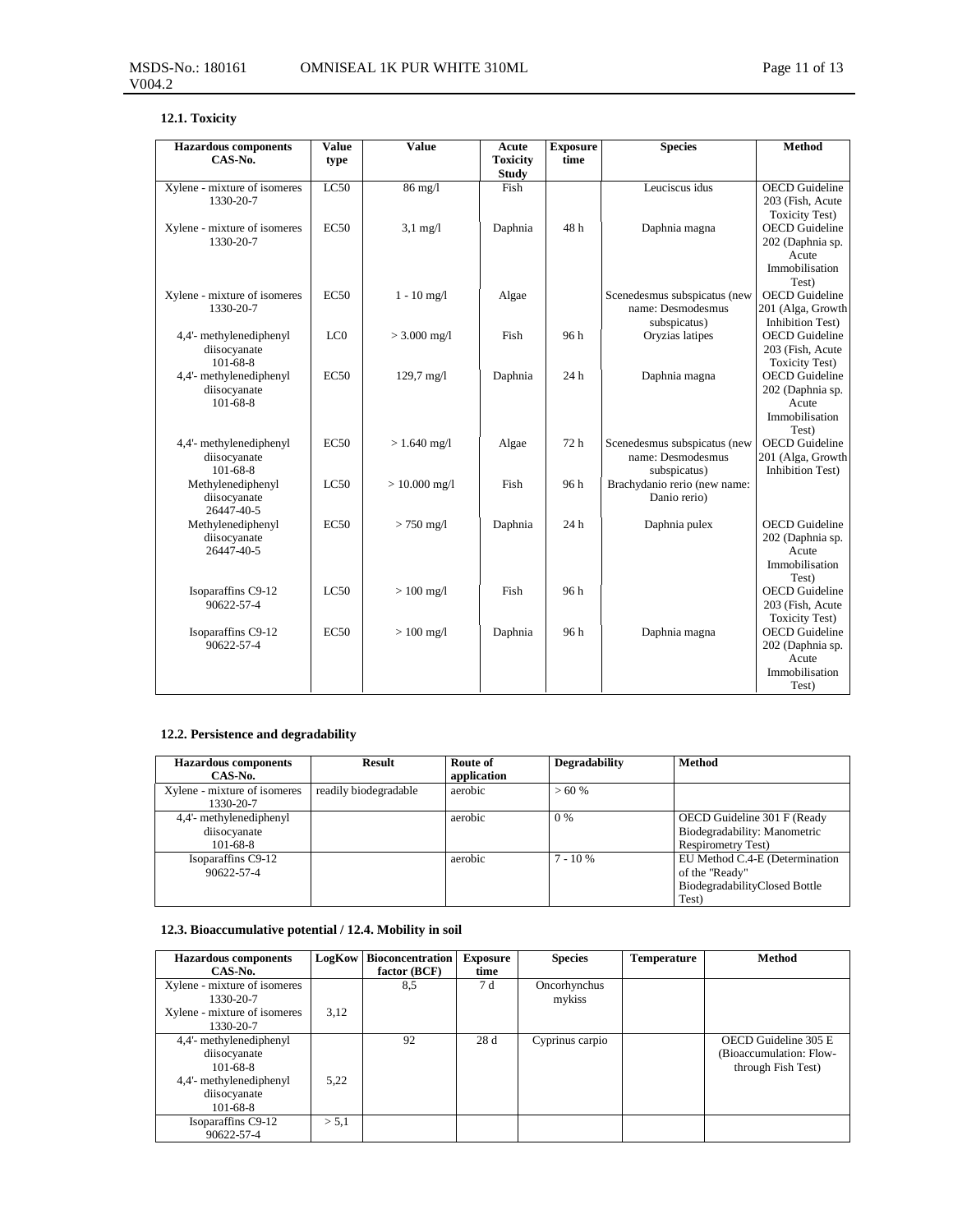# **12.1. Toxicity**

| <b>Hazardous</b> components                               | Value            | Value                | Acute                           | <b>Exposure</b> | <b>Species</b>                                                    | <b>Method</b>                                                                 |
|-----------------------------------------------------------|------------------|----------------------|---------------------------------|-----------------|-------------------------------------------------------------------|-------------------------------------------------------------------------------|
| CAS-No.                                                   | type             |                      | <b>Toxicity</b><br><b>Study</b> | time            |                                                                   |                                                                               |
| Xylene - mixture of isomeres<br>1330-20-7                 | LC50             | $86$ mg/l            | Fish                            |                 | Leuciscus idus                                                    | <b>OECD</b> Guideline<br>203 (Fish, Acute<br><b>Toxicity Test)</b>            |
| Xylene - mixture of isomeres<br>1330-20-7                 | EC50             | $3,1 \text{ mg}/1$   | Daphnia                         | 48h             | Daphnia magna                                                     | <b>OECD</b> Guideline<br>202 (Daphnia sp.<br>Acute<br>Immobilisation<br>Test) |
| Xylene - mixture of isomeres<br>1330-20-7                 | EC50             | $1 - 10$ mg/l        | Algae                           |                 | Scenedesmus subspicatus (new<br>name: Desmodesmus<br>subspicatus) | <b>OECD</b> Guideline<br>201 (Alga, Growth<br><b>Inhibition Test)</b>         |
| 4,4'- methylenediphenyl<br>diisocyanate<br>$101 - 68 - 8$ | LC0              | $> 3.000$ mg/l       | Fish                            | 96h             | Oryzias latipes                                                   | <b>OECD</b> Guideline<br>203 (Fish, Acute<br><b>Toxicity Test)</b>            |
| 4,4'- methylenediphenyl<br>diisocyanate<br>101-68-8       | EC <sub>50</sub> | $129,7 \text{ mg}/1$ | Daphnia                         | 24 h            | Daphnia magna                                                     | <b>OECD</b> Guideline<br>202 (Daphnia sp.<br>Acute<br>Immobilisation<br>Test) |
| 4,4'- methylenediphenyl<br>diisocyanate<br>101-68-8       | <b>EC50</b>      | $> 1.640$ mg/l       | Algae                           | 72 h            | Scenedesmus subspicatus (new<br>name: Desmodesmus<br>subspicatus) | <b>OECD</b> Guideline<br>201 (Alga, Growth<br><b>Inhibition Test)</b>         |
| Methylenediphenyl<br>diisocyanate<br>26447-40-5           | LC50             | $> 10.000$ mg/l      | Fish                            | 96h             | Brachydanio rerio (new name:<br>Danio rerio)                      |                                                                               |
| Methylenediphenyl<br>diisocyanate<br>26447-40-5           | EC50             | $> 750$ mg/l         | Daphnia                         | 24h             | Daphnia pulex                                                     | <b>OECD</b> Guideline<br>202 (Daphnia sp.<br>Acute<br>Immobilisation<br>Test) |
| Isoparaffins C9-12<br>90622-57-4                          | LC50             | $> 100$ mg/l         | Fish                            | 96 h            |                                                                   | <b>OECD</b> Guideline<br>203 (Fish, Acute<br><b>Toxicity Test)</b>            |
| Isoparaffins C9-12<br>90622-57-4                          | EC50             | $> 100$ mg/l         | Daphnia                         | 96h             | Daphnia magna                                                     | <b>OECD</b> Guideline<br>202 (Daphnia sp.<br>Acute<br>Immobilisation<br>Test) |

# **12.2. Persistence and degradability**

| <b>Hazardous components</b><br>CAS-No.                    | <b>Result</b>         | Route of<br>application | Degradability | <b>Method</b>                                                                              |
|-----------------------------------------------------------|-----------------------|-------------------------|---------------|--------------------------------------------------------------------------------------------|
| Xylene - mixture of isomeres<br>1330-20-7                 | readily biodegradable | aerobic                 | $>60\%$       |                                                                                            |
| 4,4'- methylenediphenyl<br>diisocyanate<br>$101 - 68 - 8$ |                       | aerobic                 | 0 %           | OECD Guideline 301 F (Ready<br>Biodegradability: Manometric<br>Respirometry Test)          |
| Isoparaffins C9-12<br>90622-57-4                          |                       | aerobic                 | $7 - 10\%$    | EU Method C.4-E (Determination<br>of the "Ready"<br>BiodegradabilityClosed Bottle<br>Test) |

# **12.3. Bioaccumulative potential / 12.4. Mobility in soil**

| <b>Hazardous</b> components                                                          | LogKow | <b>Bioconcentration</b> | <b>Exposure</b> | <b>Species</b>         | <b>Temperature</b> | Method                                                                |
|--------------------------------------------------------------------------------------|--------|-------------------------|-----------------|------------------------|--------------------|-----------------------------------------------------------------------|
| CAS-No.                                                                              |        | factor (BCF)            | time            |                        |                    |                                                                       |
| Xylene - mixture of isomeres<br>1330-20-7                                            |        | 8,5                     | 7 d             | Oncorhynchus<br>mykiss |                    |                                                                       |
| Xylene - mixture of isomeres<br>1330-20-7                                            | 3,12   |                         |                 |                        |                    |                                                                       |
| 4,4'- methylenediphenyl<br>diisocyanate<br>$101 - 68 - 8$<br>4,4'- methylenediphenyl | 5,22   | 92                      | 28d             | Cyprinus carpio        |                    | OECD Guideline 305 E<br>(Bioaccumulation: Flow-<br>through Fish Test) |
| diisocyanate<br>$101 - 68 - 8$                                                       |        |                         |                 |                        |                    |                                                                       |
| Isoparaffins C9-12<br>90622-57-4                                                     | > 5.1  |                         |                 |                        |                    |                                                                       |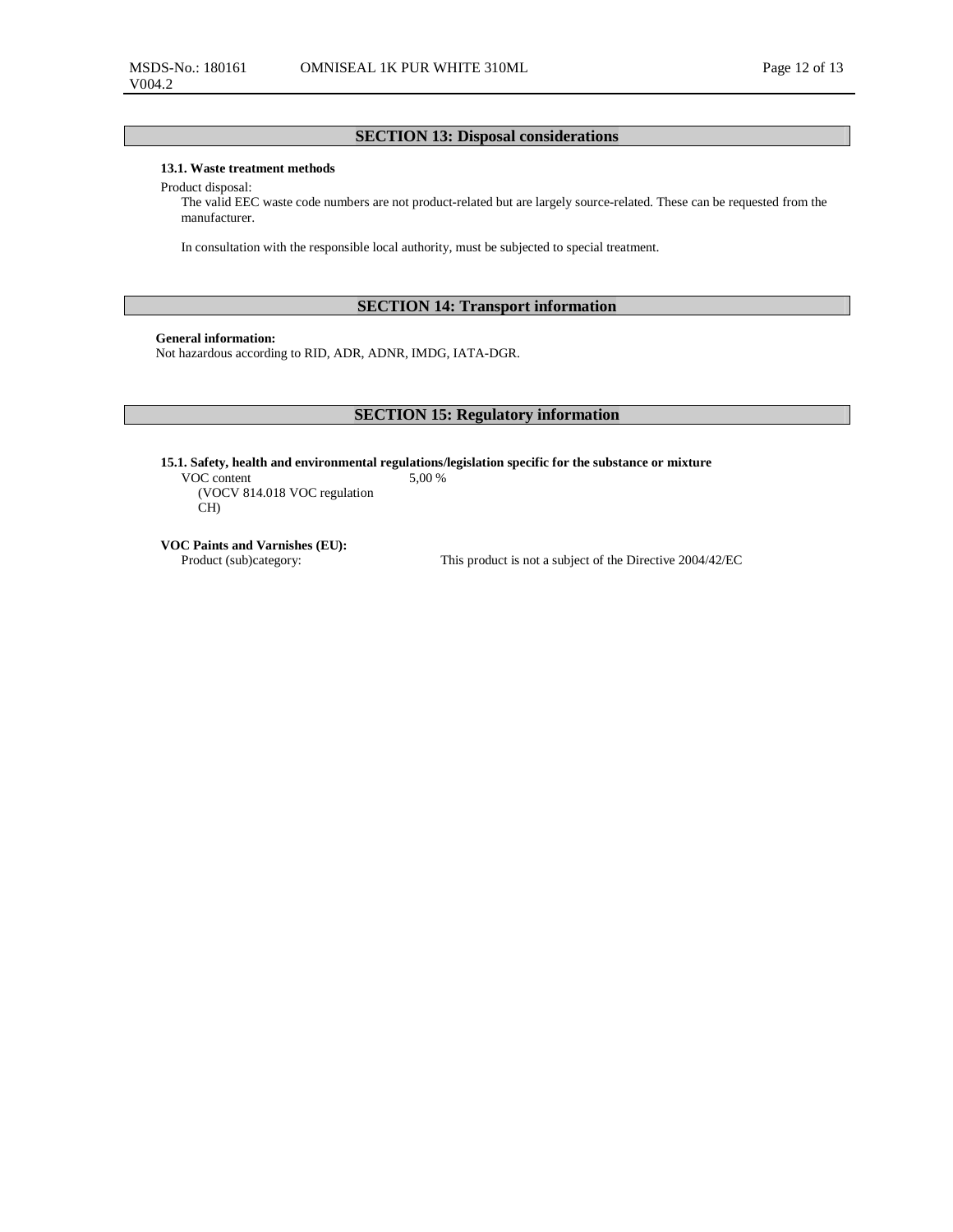## **SECTION 13: Disposal considerations**

### **13.1. Waste treatment methods**

Product disposal:

The valid EEC waste code numbers are not product-related but are largely source-related. These can be requested from the manufacturer.

In consultation with the responsible local authority, must be subjected to special treatment.

## **SECTION 14: Transport information**

## **General information:**

Not hazardous according to RID, ADR, ADNR, IMDG, IATA-DGR.

## **SECTION 15: Regulatory information**

**15.1. Safety, health and environmental regulations/legislation specific for the substance or mixture**  5,00 %

VOC content (VOCV 814.018 VOC regulation CH)

**VOC Paints and Varnishes (EU):** 

This product is not a subject of the Directive 2004/42/EC